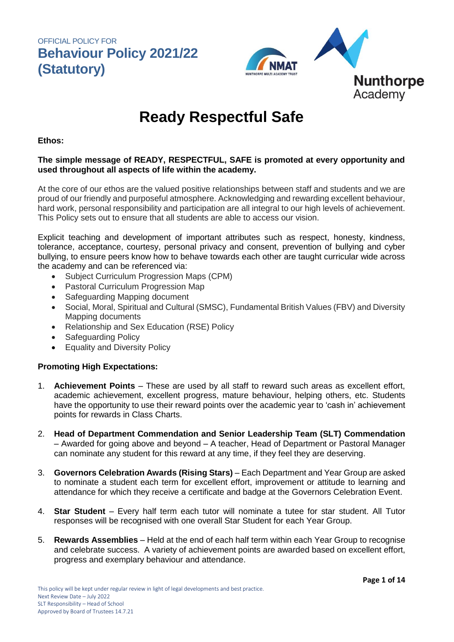

# **Ready Respectful Safe**

#### **Ethos:**

### **The simple message of READY, RESPECTFUL, SAFE is promoted at every opportunity and used throughout all aspects of life within the academy.**

At the core of our ethos are the valued positive relationships between staff and students and we are proud of our friendly and purposeful atmosphere. Acknowledging and rewarding excellent behaviour, hard work, personal responsibility and participation are all integral to our high levels of achievement. This Policy sets out to ensure that all students are able to access our vision.

Explicit teaching and development of important attributes such as respect, honesty, kindness, tolerance, acceptance, courtesy, personal privacy and consent, prevention of bullying and cyber bullying, to ensure peers know how to behave towards each other are taught curricular wide across the academy and can be referenced via:

- Subject Curriculum Progression Maps (CPM)
- Pastoral Curriculum Progression Map
- Safeguarding Mapping document
- Social, Moral, Spiritual and Cultural (SMSC), Fundamental British Values (FBV) and Diversity Mapping documents
- Relationship and Sex Education (RSE) Policy
- Safeguarding Policy
- Equality and Diversity Policy

### **Promoting High Expectations:**

- 1. **Achievement Points** These are used by all staff to reward such areas as excellent effort, academic achievement, excellent progress, mature behaviour, helping others, etc. Students have the opportunity to use their reward points over the academic year to 'cash in' achievement points for rewards in Class Charts.
- 2. **Head of Department Commendation and Senior Leadership Team (SLT) Commendation**  – Awarded for going above and beyond – A teacher, Head of Department or Pastoral Manager can nominate any student for this reward at any time, if they feel they are deserving.
- 3. **Governors Celebration Awards (Rising Stars)**  Each Department and Year Group are asked to nominate a student each term for excellent effort, improvement or attitude to learning and attendance for which they receive a certificate and badge at the Governors Celebration Event.
- 4. **Star Student**  Every half term each tutor will nominate a tutee for star student. All Tutor responses will be recognised with one overall Star Student for each Year Group.
- 5. **Rewards Assemblies** Held at the end of each half term within each Year Group to recognise and celebrate success. A variety of achievement points are awarded based on excellent effort, progress and exemplary behaviour and attendance.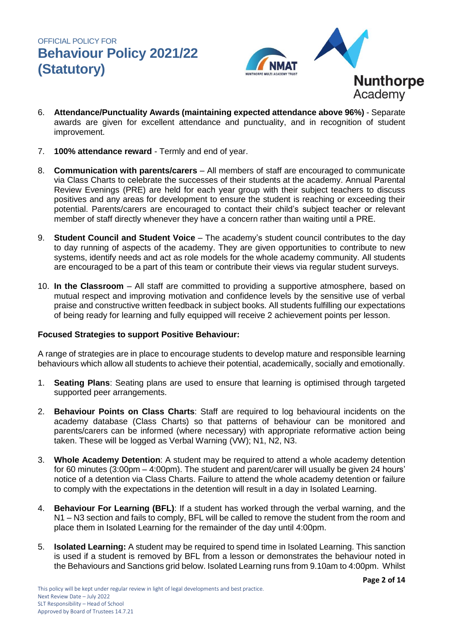

- 6. **Attendance/Punctuality Awards (maintaining expected attendance above 96%)**  Separate awards are given for excellent attendance and punctuality, and in recognition of student improvement.
- 7. **100% attendance reward** Termly and end of year.
- 8. **Communication with parents/carers** All members of staff are encouraged to communicate via Class Charts to celebrate the successes of their students at the academy. Annual Parental Review Evenings (PRE) are held for each year group with their subject teachers to discuss positives and any areas for development to ensure the student is reaching or exceeding their potential. Parents/carers are encouraged to contact their child's subject teacher or relevant member of staff directly whenever they have a concern rather than waiting until a PRE.
- 9. **Student Council and Student Voice** The academy's student council contributes to the day to day running of aspects of the academy. They are given opportunities to contribute to new systems, identify needs and act as role models for the whole academy community. All students are encouraged to be a part of this team or contribute their views via regular student surveys.
- 10. **In the Classroom**  All staff are committed to providing a supportive atmosphere, based on mutual respect and improving motivation and confidence levels by the sensitive use of verbal praise and constructive written feedback in subject books. All students fulfilling our expectations of being ready for learning and fully equipped will receive 2 achievement points per lesson.

### **Focused Strategies to support Positive Behaviour:**

A range of strategies are in place to encourage students to develop mature and responsible learning behaviours which allow all students to achieve their potential, academically, socially and emotionally.

- 1. **Seating Plans**: Seating plans are used to ensure that learning is optimised through targeted supported peer arrangements.
- 2. **Behaviour Points on Class Charts**: Staff are required to log behavioural incidents on the academy database (Class Charts) so that patterns of behaviour can be monitored and parents/carers can be informed (where necessary) with appropriate reformative action being taken. These will be logged as Verbal Warning (VW); N1, N2, N3.
- 3. **Whole Academy Detention**: A student may be required to attend a whole academy detention for 60 minutes (3:00pm – 4:00pm). The student and parent/carer will usually be given 24 hours' notice of a detention via Class Charts. Failure to attend the whole academy detention or failure to comply with the expectations in the detention will result in a day in Isolated Learning.
- 4. **Behaviour For Learning (BFL)**: If a student has worked through the verbal warning, and the N1 – N3 section and fails to comply, BFL will be called to remove the student from the room and place them in Isolated Learning for the remainder of the day until 4:00pm.
- 5. **Isolated Learning:** A student may be required to spend time in Isolated Learning. This sanction is used if a student is removed by BFL from a lesson or demonstrates the behaviour noted in the Behaviours and Sanctions grid below. Isolated Learning runs from 9.10am to 4:00pm. Whilst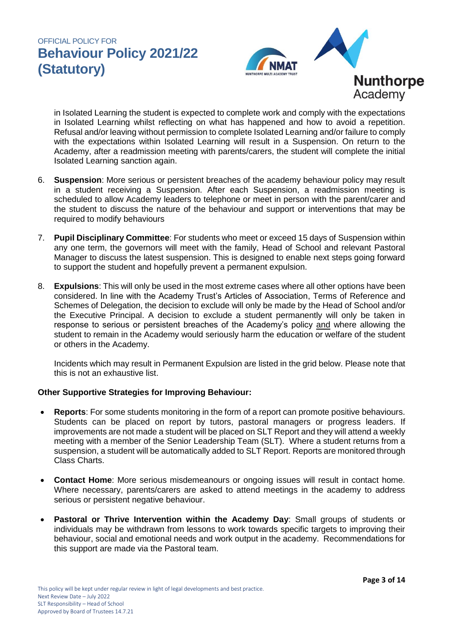

in Isolated Learning the student is expected to complete work and comply with the expectations in Isolated Learning whilst reflecting on what has happened and how to avoid a repetition. Refusal and/or leaving without permission to complete Isolated Learning and/or failure to comply with the expectations within Isolated Learning will result in a Suspension. On return to the Academy, after a readmission meeting with parents/carers, the student will complete the initial Isolated Learning sanction again.

- 6. **Suspension**: More serious or persistent breaches of the academy behaviour policy may result in a student receiving a Suspension. After each Suspension, a readmission meeting is scheduled to allow Academy leaders to telephone or meet in person with the parent/carer and the student to discuss the nature of the behaviour and support or interventions that may be required to modify behaviours
- 7. **Pupil Disciplinary Committee**: For students who meet or exceed 15 days of Suspension within any one term, the governors will meet with the family, Head of School and relevant Pastoral Manager to discuss the latest suspension. This is designed to enable next steps going forward to support the student and hopefully prevent a permanent expulsion.
- 8. **Expulsions**: This will only be used in the most extreme cases where all other options have been considered. In line with the Academy Trust's Articles of Association, Terms of Reference and Schemes of Delegation, the decision to exclude will only be made by the Head of School and/or the Executive Principal. A decision to exclude a student permanently will only be taken in response to serious or persistent breaches of the Academy's policy and where allowing the student to remain in the Academy would seriously harm the education or welfare of the student or others in the Academy.

Incidents which may result in Permanent Expulsion are listed in the grid below. Please note that this is not an exhaustive list.

### **Other Supportive Strategies for Improving Behaviour:**

- **Reports**: For some students monitoring in the form of a report can promote positive behaviours. Students can be placed on report by tutors, pastoral managers or progress leaders. If improvements are not made a student will be placed on SLT Report and they will attend a weekly meeting with a member of the Senior Leadership Team (SLT). Where a student returns from a suspension, a student will be automatically added to SLT Report. Reports are monitored through Class Charts.
- **Contact Home**: More serious misdemeanours or ongoing issues will result in contact home. Where necessary, parents/carers are asked to attend meetings in the academy to address serious or persistent negative behaviour.
- **Pastoral or Thrive Intervention within the Academy Day**: Small groups of students or individuals may be withdrawn from lessons to work towards specific targets to improving their behaviour, social and emotional needs and work output in the academy. Recommendations for this support are made via the Pastoral team.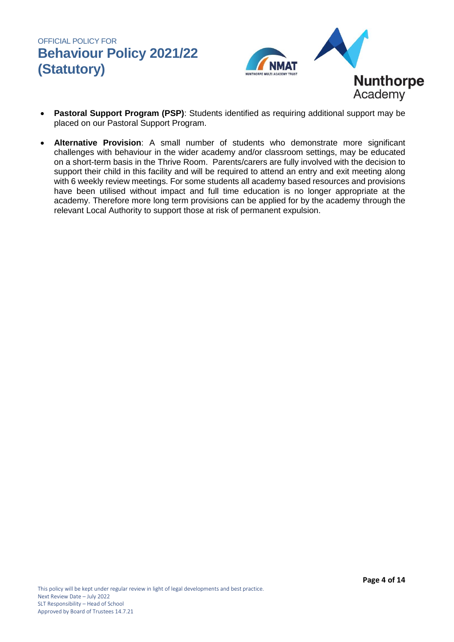

- **Pastoral Support Program (PSP)**: Students identified as requiring additional support may be placed on our Pastoral Support Program.
- **Alternative Provision**: A small number of students who demonstrate more significant challenges with behaviour in the wider academy and/or classroom settings, may be educated on a short-term basis in the Thrive Room. Parents/carers are fully involved with the decision to support their child in this facility and will be required to attend an entry and exit meeting along with 6 weekly review meetings. For some students all academy based resources and provisions have been utilised without impact and full time education is no longer appropriate at the academy. Therefore more long term provisions can be applied for by the academy through the relevant Local Authority to support those at risk of permanent expulsion.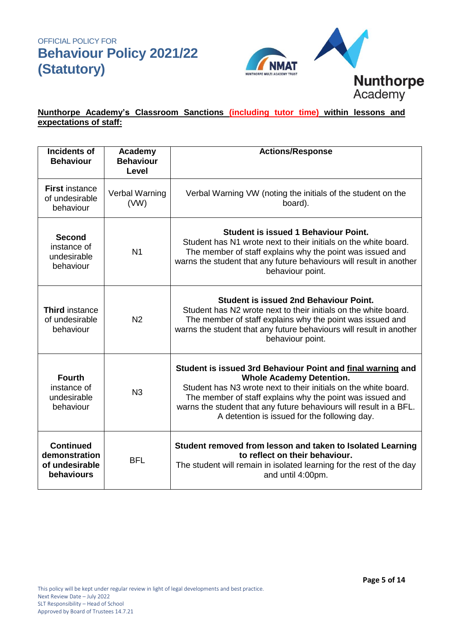

### **Nunthorpe Academy's Classroom Sanctions (including tutor time) within lessons and expectations of staff:**

| <b>Incidents of</b><br><b>Behaviour</b>                           | Academy<br><b>Behaviour</b><br>Level | <b>Actions/Response</b>                                                                                                                                                                                                                                                                                                                              |
|-------------------------------------------------------------------|--------------------------------------|------------------------------------------------------------------------------------------------------------------------------------------------------------------------------------------------------------------------------------------------------------------------------------------------------------------------------------------------------|
| <b>First instance</b><br>of undesirable<br>behaviour              | Verbal Warning<br>(VW)               | Verbal Warning VW (noting the initials of the student on the<br>board).                                                                                                                                                                                                                                                                              |
| <b>Second</b><br>instance of<br>undesirable<br>behaviour          | N <sub>1</sub>                       | <b>Student is issued 1 Behaviour Point.</b><br>Student has N1 wrote next to their initials on the white board.<br>The member of staff explains why the point was issued and<br>warns the student that any future behaviours will result in another<br>behaviour point.                                                                               |
| <b>Third</b> instance<br>of undesirable<br>behaviour              | N <sub>2</sub>                       | <b>Student is issued 2nd Behaviour Point.</b><br>Student has N2 wrote next to their initials on the white board.<br>The member of staff explains why the point was issued and<br>warns the student that any future behaviours will result in another<br>behaviour point.                                                                             |
| <b>Fourth</b><br>instance of<br>undesirable<br>behaviour          | N <sub>3</sub>                       | Student is issued 3rd Behaviour Point and final warning and<br><b>Whole Academy Detention.</b><br>Student has N3 wrote next to their initials on the white board.<br>The member of staff explains why the point was issued and<br>warns the student that any future behaviours will result in a BFL.<br>A detention is issued for the following day. |
| <b>Continued</b><br>demonstration<br>of undesirable<br>behaviours | <b>BFL</b>                           | Student removed from lesson and taken to Isolated Learning<br>to reflect on their behaviour.<br>The student will remain in isolated learning for the rest of the day<br>and until 4:00pm.                                                                                                                                                            |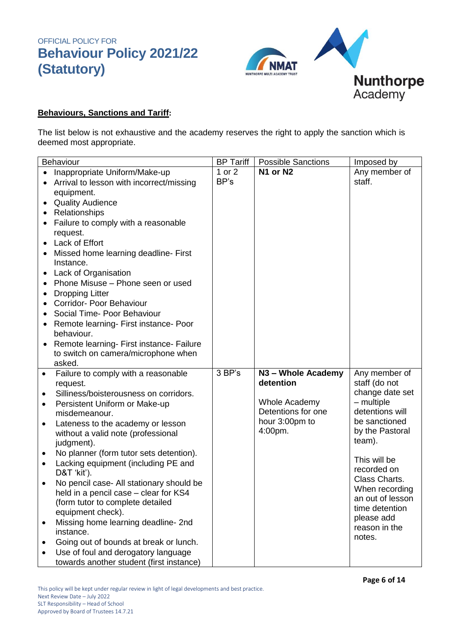

### **Behaviours, Sanctions and Tariff:**

The list below is not exhaustive and the academy reserves the right to apply the sanction which is deemed most appropriate.

| Behaviour                                            | <b>BP Tariff</b> | <b>Possible Sanctions</b> | Imposed by                   |
|------------------------------------------------------|------------------|---------------------------|------------------------------|
| Inappropriate Uniform/Make-up                        | 1 or 2           | N1 or N2                  | Any member of                |
| Arrival to lesson with incorrect/missing             | BP's             |                           | staff.                       |
| equipment.                                           |                  |                           |                              |
| <b>Quality Audience</b><br>$\bullet$                 |                  |                           |                              |
| Relationships                                        |                  |                           |                              |
| Failure to comply with a reasonable                  |                  |                           |                              |
| request.                                             |                  |                           |                              |
| Lack of Effort                                       |                  |                           |                              |
| Missed home learning deadline- First                 |                  |                           |                              |
| Instance.                                            |                  |                           |                              |
| Lack of Organisation                                 |                  |                           |                              |
| Phone Misuse - Phone seen or used                    |                  |                           |                              |
| <b>Dropping Litter</b>                               |                  |                           |                              |
| Corridor- Poor Behaviour                             |                  |                           |                              |
| Social Time- Poor Behaviour                          |                  |                           |                              |
| Remote learning- First instance- Poor                |                  |                           |                              |
| behaviour.                                           |                  |                           |                              |
| Remote learning- First instance- Failure             |                  |                           |                              |
| to switch on camera/microphone when                  |                  |                           |                              |
| asked.                                               |                  |                           |                              |
| Failure to comply with a reasonable<br>$\bullet$     | 3 BP's           | N3 - Whole Academy        | Any member of                |
| request.                                             |                  | detention                 | staff (do not                |
| Silliness/boisterousness on corridors.<br>$\bullet$  |                  |                           | change date set              |
| Persistent Uniform or Make-up<br>$\bullet$           |                  | <b>Whole Academy</b>      | $-$ multiple                 |
| misdemeanour.                                        |                  | Detentions for one        | detentions will              |
| Lateness to the academy or lesson                    |                  | hour 3:00pm to            | be sanctioned                |
| without a valid note (professional                   |                  | 4:00pm.                   | by the Pastoral              |
| judgment).                                           |                  |                           | team).                       |
| No planner (form tutor sets detention).<br>$\bullet$ |                  |                           |                              |
| Lacking equipment (including PE and<br>$\bullet$     |                  |                           | This will be                 |
| D&T 'kit').                                          |                  |                           | recorded on<br>Class Charts. |
| No pencil case- All stationary should be             |                  |                           | When recording               |
| held in a pencil case – clear for KS4                |                  |                           | an out of lesson             |
| (form tutor to complete detailed                     |                  |                           | time detention               |
| equipment check).                                    |                  |                           | please add                   |
| Missing home learning deadline- 2nd                  |                  |                           | reason in the                |
| instance.                                            |                  |                           | notes.                       |
| Going out of bounds at break or lunch.               |                  |                           |                              |
| Use of foul and derogatory language                  |                  |                           |                              |
| towards another student (first instance)             |                  |                           |                              |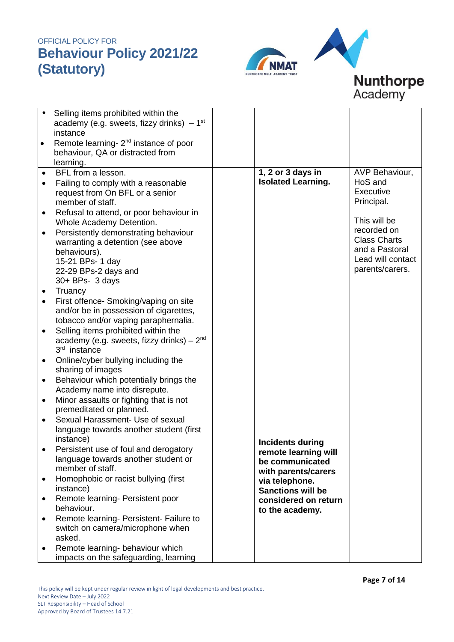



|           | Selling items prohibited within the               |                           |                     |
|-----------|---------------------------------------------------|---------------------------|---------------------|
|           |                                                   |                           |                     |
|           | academy (e.g. sweets, fizzy drinks) $-1^{st}$     |                           |                     |
|           | instance                                          |                           |                     |
| $\bullet$ | Remote learning- 2 <sup>nd</sup> instance of poor |                           |                     |
|           | behaviour, QA or distracted from                  |                           |                     |
|           | learning.                                         |                           |                     |
| $\bullet$ | BFL from a lesson.                                | 1, 2 or 3 days in         | AVP Behaviour,      |
| $\bullet$ | Failing to comply with a reasonable               | <b>Isolated Learning.</b> | HoS and             |
|           | request from On BFL or a senior                   |                           | Executive           |
|           | member of staff.                                  |                           | Principal.          |
| $\bullet$ | Refusal to attend, or poor behaviour in           |                           |                     |
|           |                                                   |                           | This will be        |
|           | Whole Academy Detention.                          |                           | recorded on         |
| ٠         | Persistently demonstrating behaviour              |                           | <b>Class Charts</b> |
|           | warranting a detention (see above                 |                           | and a Pastoral      |
|           | behaviours).                                      |                           | Lead will contact   |
|           | 15-21 BPs- 1 day                                  |                           |                     |
|           | 22-29 BPs-2 days and                              |                           | parents/carers.     |
|           | $30 + BPs - 3 days$                               |                           |                     |
| $\bullet$ | Truancy                                           |                           |                     |
|           | First offence- Smoking/vaping on site             |                           |                     |
|           | and/or be in possession of cigarettes,            |                           |                     |
|           | tobacco and/or vaping paraphernalia.              |                           |                     |
| $\bullet$ | Selling items prohibited within the               |                           |                     |
|           | academy (e.g. sweets, fizzy drinks) $-2nd$        |                           |                     |
|           | 3 <sup>rd</sup> instance                          |                           |                     |
| $\bullet$ | Online/cyber bullying including the               |                           |                     |
|           | sharing of images                                 |                           |                     |
| ٠         | Behaviour which potentially brings the            |                           |                     |
|           | Academy name into disrepute.                      |                           |                     |
| $\bullet$ | Minor assaults or fighting that is not            |                           |                     |
|           | premeditated or planned.                          |                           |                     |
| $\bullet$ | Sexual Harassment- Use of sexual                  |                           |                     |
|           | language towards another student (first           |                           |                     |
|           | instance)                                         |                           |                     |
|           |                                                   | <b>Incidents during</b>   |                     |
|           | Persistent use of foul and derogatory             | remote learning will      |                     |
|           | language towards another student or               | be communicated           |                     |
|           | member of staff.                                  | with parents/carers       |                     |
| $\bullet$ | Homophobic or racist bullying (first              | via telephone.            |                     |
|           | instance)                                         | <b>Sanctions will be</b>  |                     |
| ٠         | Remote learning- Persistent poor                  | considered on return      |                     |
|           | behaviour.                                        | to the academy.           |                     |
| ٠         | Remote learning- Persistent- Failure to           |                           |                     |
|           | switch on camera/microphone when                  |                           |                     |
|           | asked.                                            |                           |                     |
| ٠         | Remote learning- behaviour which                  |                           |                     |
|           | impacts on the safeguarding, learning             |                           |                     |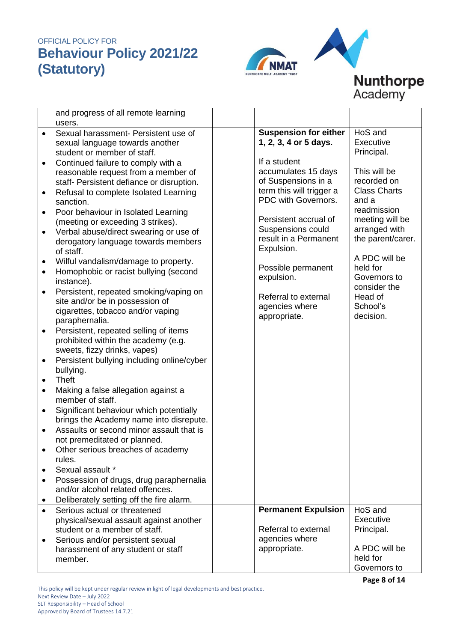

# **Nunthorpe**<br>Academy

|           | and progress of all remote learning<br>users.                                |                              |                     |
|-----------|------------------------------------------------------------------------------|------------------------------|---------------------|
| $\bullet$ | Sexual harassment- Persistent use of                                         | <b>Suspension for either</b> | HoS and             |
|           | sexual language towards another                                              | 1, 2, 3, 4 or 5 days.        | Executive           |
|           | student or member of staff.                                                  |                              | Principal.          |
|           |                                                                              | If a student                 |                     |
| ٠         | Continued failure to comply with a                                           | accumulates 15 days          | This will be        |
|           | reasonable request from a member of                                          | of Suspensions in a          | recorded on         |
|           | staff- Persistent defiance or disruption.                                    | term this will trigger a     | <b>Class Charts</b> |
| $\bullet$ | Refusal to complete Isolated Learning                                        | PDC with Governors.          | and a               |
|           | sanction.                                                                    |                              | readmission         |
| ٠         | Poor behaviour in Isolated Learning                                          | Persistent accrual of        | meeting will be     |
|           | (meeting or exceeding 3 strikes).                                            | Suspensions could            | arranged with       |
| $\bullet$ | Verbal abuse/direct swearing or use of                                       | result in a Permanent        | the parent/carer.   |
|           | derogatory language towards members                                          | Expulsion.                   |                     |
|           | of staff.                                                                    |                              | A PDC will be       |
| ٠         | Wilful vandalism/damage to property.                                         | Possible permanent           | held for            |
| $\bullet$ | Homophobic or racist bullying (second                                        | expulsion.                   | Governors to        |
|           | instance).                                                                   |                              | consider the        |
| $\bullet$ | Persistent, repeated smoking/vaping on                                       | Referral to external         | Head of             |
|           | site and/or be in possession of                                              | agencies where               | School's            |
|           | cigarettes, tobacco and/or vaping<br>paraphernalia.                          | appropriate.                 | decision.           |
|           |                                                                              |                              |                     |
| $\bullet$ | Persistent, repeated selling of items<br>prohibited within the academy (e.g. |                              |                     |
|           | sweets, fizzy drinks, vapes)                                                 |                              |                     |
| $\bullet$ | Persistent bullying including online/cyber                                   |                              |                     |
|           | bullying.                                                                    |                              |                     |
|           | <b>Theft</b>                                                                 |                              |                     |
| $\bullet$ | Making a false allegation against a                                          |                              |                     |
|           | member of staff.                                                             |                              |                     |
| $\bullet$ | Significant behaviour which potentially                                      |                              |                     |
|           | brings the Academy name into disrepute.                                      |                              |                     |
| $\bullet$ | Assaults or second minor assault that is                                     |                              |                     |
|           | not premeditated or planned.                                                 |                              |                     |
|           | Other serious breaches of academy                                            |                              |                     |
|           | rules.                                                                       |                              |                     |
| $\bullet$ | Sexual assault *                                                             |                              |                     |
| $\bullet$ | Possession of drugs, drug paraphernalia                                      |                              |                     |
|           | and/or alcohol related offences.                                             |                              |                     |
| ٠         | Deliberately setting off the fire alarm.                                     |                              |                     |
| $\bullet$ | Serious actual or threatened                                                 | <b>Permanent Expulsion</b>   | HoS and             |
|           | physical/sexual assault against another                                      |                              | Executive           |
|           | student or a member of staff.                                                | Referral to external         | Principal.          |
| ٠         | Serious and/or persistent sexual                                             | agencies where               |                     |
|           | harassment of any student or staff                                           | appropriate.                 | A PDC will be       |
|           | member.                                                                      |                              | held for            |
|           |                                                                              |                              | Governors to        |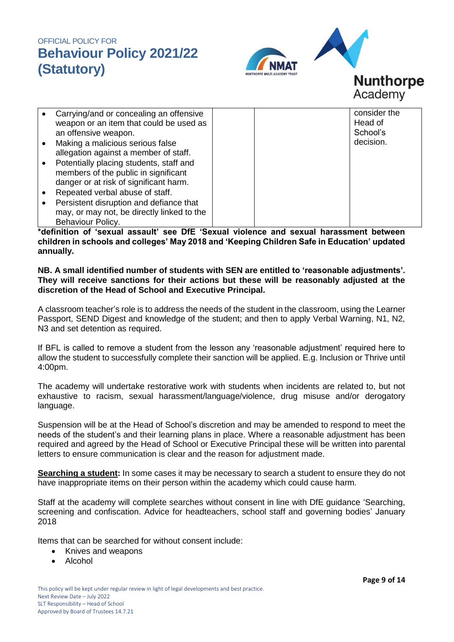

# **Nunthorpe** Academy

|           | Carrying/and or concealing an offensive    |  | consider the |
|-----------|--------------------------------------------|--|--------------|
|           | weapon or an item that could be used as    |  | Head of      |
|           | an offensive weapon.                       |  | School's     |
| $\bullet$ | Making a malicious serious false           |  | decision.    |
|           | allegation against a member of staff.      |  |              |
|           | Potentially placing students, staff and    |  |              |
|           | members of the public in significant       |  |              |
|           | danger or at risk of significant harm.     |  |              |
|           | Repeated verbal abuse of staff.            |  |              |
|           | Persistent disruption and defiance that    |  |              |
|           | may, or may not, be directly linked to the |  |              |
|           | Behaviour Policy.                          |  |              |

**\*definition of 'sexual assault' see DfE 'Sexual violence and sexual harassment between children in schools and colleges' May 2018 and 'Keeping Children Safe in Education' updated annually.** 

#### **NB. A small identified number of students with SEN are entitled to 'reasonable adjustments'. They will receive sanctions for their actions but these will be reasonably adjusted at the discretion of the Head of School and Executive Principal.**

A classroom teacher's role is to address the needs of the student in the classroom, using the Learner Passport, SEND Digest and knowledge of the student; and then to apply Verbal Warning, N1, N2, N3 and set detention as required.

If BFL is called to remove a student from the lesson any 'reasonable adjustment' required here to allow the student to successfully complete their sanction will be applied. E.g. Inclusion or Thrive until 4:00pm.

The academy will undertake restorative work with students when incidents are related to, but not exhaustive to racism, sexual harassment/language/violence, drug misuse and/or derogatory language.

Suspension will be at the Head of School's discretion and may be amended to respond to meet the needs of the student's and their learning plans in place. Where a reasonable adjustment has been required and agreed by the Head of School or Executive Principal these will be written into parental letters to ensure communication is clear and the reason for adjustment made.

**Searching a student:** In some cases it may be necessary to search a student to ensure they do not have inappropriate items on their person within the academy which could cause harm.

Staff at the academy will complete searches without consent in line with DfE guidance 'Searching, screening and confiscation. Advice for headteachers, school staff and governing bodies' January 2018

Items that can be searched for without consent include:

- Knives and weapons
- Alcohol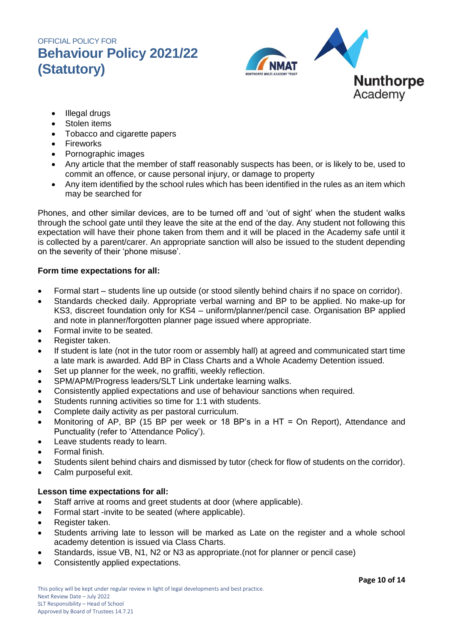

- Illegal drugs
- Stolen items
- Tobacco and cigarette papers
- Fireworks
- Pornographic images
- Any article that the member of staff reasonably suspects has been, or is likely to be, used to commit an offence, or cause personal injury, or damage to property
- Any item identified by the school rules which has been identified in the rules as an item which may be searched for

Phones, and other similar devices, are to be turned off and 'out of sight' when the student walks through the school gate until they leave the site at the end of the day. Any student not following this expectation will have their phone taken from them and it will be placed in the Academy safe until it is collected by a parent/carer. An appropriate sanction will also be issued to the student depending on the severity of their 'phone misuse'.

### **Form time expectations for all:**

- Formal start students line up outside (or stood silently behind chairs if no space on corridor).
- Standards checked daily. Appropriate verbal warning and BP to be applied. No make-up for KS3, discreet foundation only for KS4 – uniform/planner/pencil case. Organisation BP applied and note in planner/forgotten planner page issued where appropriate.
- Formal invite to be seated.
- Register taken.
- If student is late (not in the tutor room or assembly hall) at agreed and communicated start time a late mark is awarded. Add BP in Class Charts and a Whole Academy Detention issued.
- Set up planner for the week, no graffiti, weekly reflection.
- SPM/APM/Progress leaders/SLT Link undertake learning walks.
- Consistently applied expectations and use of behaviour sanctions when required.
- Students running activities so time for 1:1 with students.
- Complete daily activity as per pastoral curriculum.
- Monitoring of AP, BP (15 BP per week or 18 BP's in a HT = On Report), Attendance and Punctuality (refer to 'Attendance Policy').
- Leave students ready to learn.
- Formal finish.
- Students silent behind chairs and dismissed by tutor (check for flow of students on the corridor).
- Calm purposeful exit.

### **Lesson time expectations for all:**

- Staff arrive at rooms and greet students at door (where applicable).
- Formal start -invite to be seated (where applicable).
- Register taken.
- Students arriving late to lesson will be marked as Late on the register and a whole school academy detention is issued via Class Charts.
- Standards, issue VB, N1, N2 or N3 as appropriate.(not for planner or pencil case)
- Consistently applied expectations.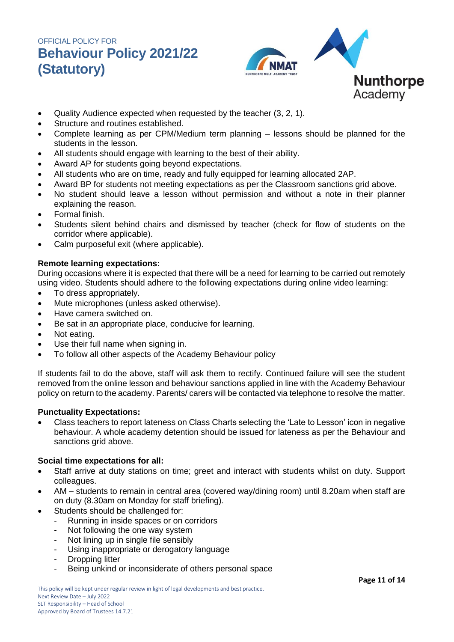

- Quality Audience expected when requested by the teacher (3, 2, 1).
- Structure and routines established.
- Complete learning as per CPM/Medium term planning lessons should be planned for the students in the lesson.
- All students should engage with learning to the best of their ability.
- Award AP for students going beyond expectations.
- All students who are on time, ready and fully equipped for learning allocated 2AP.
- Award BP for students not meeting expectations as per the Classroom sanctions grid above.
- No student should leave a lesson without permission and without a note in their planner explaining the reason.
- Formal finish.
- Students silent behind chairs and dismissed by teacher (check for flow of students on the corridor where applicable).
- Calm purposeful exit (where applicable).

### **Remote learning expectations:**

During occasions where it is expected that there will be a need for learning to be carried out remotely using video. Students should adhere to the following expectations during online video learning:

- To dress appropriately.
- Mute microphones (unless asked otherwise).
- Have camera switched on.
- Be sat in an appropriate place, conducive for learning.
- Not eating.
- Use their full name when signing in.
- To follow all other aspects of the Academy Behaviour policy

If students fail to do the above, staff will ask them to rectify. Continued failure will see the student removed from the online lesson and behaviour sanctions applied in line with the Academy Behaviour policy on return to the academy. Parents/ carers will be contacted via telephone to resolve the matter.

### **Punctuality Expectations:**

 Class teachers to report lateness on Class Charts selecting the 'Late to Lesson' icon in negative behaviour. A whole academy detention should be issued for lateness as per the Behaviour and sanctions grid above.

### **Social time expectations for all:**

- Staff arrive at duty stations on time; greet and interact with students whilst on duty. Support colleagues.
- AM students to remain in central area (covered way/dining room) until 8.20am when staff are on duty (8.30am on Monday for staff briefing).
- Students should be challenged for:
	- Running in inside spaces or on corridors
	- Not following the one way system
	- Not lining up in single file sensibly
	- Using inappropriate or derogatory language
	- Dropping litter
	- Being unkind or inconsiderate of others personal space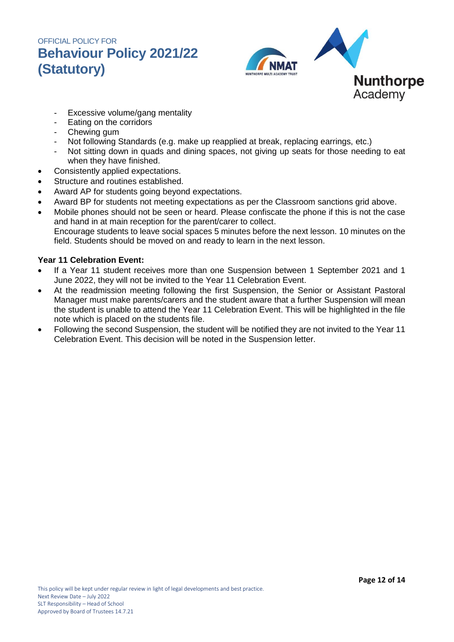

- Excessive volume/gang mentality
- Eating on the corridors
- Chewing gum
- Not following Standards (e.g. make up reapplied at break, replacing earrings, etc.)
- Not sitting down in quads and dining spaces, not giving up seats for those needing to eat when they have finished.
- Consistently applied expectations.
- Structure and routines established.
- Award AP for students going beyond expectations.
- Award BP for students not meeting expectations as per the Classroom sanctions grid above.
- Mobile phones should not be seen or heard. Please confiscate the phone if this is not the case and hand in at main reception for the parent/carer to collect. Encourage students to leave social spaces 5 minutes before the next lesson. 10 minutes on the field. Students should be moved on and ready to learn in the next lesson.

### **Year 11 Celebration Event:**

- If a Year 11 student receives more than one Suspension between 1 September 2021 and 1 June 2022, they will not be invited to the Year 11 Celebration Event.
- At the readmission meeting following the first Suspension, the Senior or Assistant Pastoral Manager must make parents/carers and the student aware that a further Suspension will mean the student is unable to attend the Year 11 Celebration Event. This will be highlighted in the file note which is placed on the students file.
- Following the second Suspension, the student will be notified they are not invited to the Year 11 Celebration Event. This decision will be noted in the Suspension letter.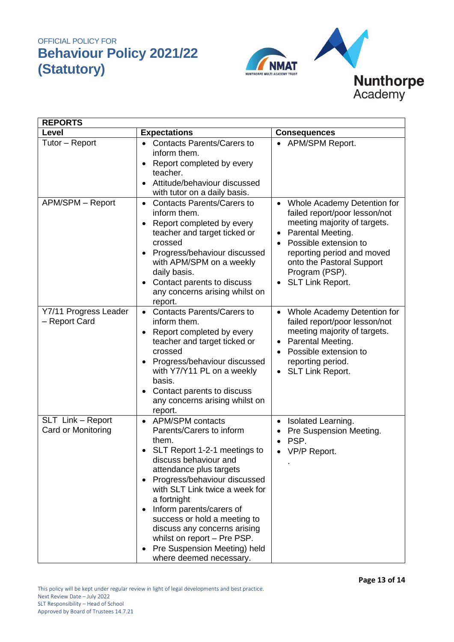

| <b>REPORTS</b>                          |                                                                                                                                                                                                                                                                                                                                                                                                                                      |                                                                                                                                                                                                                                                               |  |  |
|-----------------------------------------|--------------------------------------------------------------------------------------------------------------------------------------------------------------------------------------------------------------------------------------------------------------------------------------------------------------------------------------------------------------------------------------------------------------------------------------|---------------------------------------------------------------------------------------------------------------------------------------------------------------------------------------------------------------------------------------------------------------|--|--|
| Level                                   | <b>Expectations</b>                                                                                                                                                                                                                                                                                                                                                                                                                  | <b>Consequences</b>                                                                                                                                                                                                                                           |  |  |
| Tutor - Report                          | <b>Contacts Parents/Carers to</b><br>$\bullet$<br>inform them.<br>Report completed by every<br>teacher.<br>Attitude/behaviour discussed<br>with tutor on a daily basis.                                                                                                                                                                                                                                                              | APM/SPM Report.<br>$\bullet$                                                                                                                                                                                                                                  |  |  |
| APM/SPM - Report                        | <b>Contacts Parents/Carers to</b><br>$\bullet$<br>inform them.<br>Report completed by every<br>teacher and target ticked or<br>crossed<br>Progress/behaviour discussed<br>with APM/SPM on a weekly<br>daily basis.<br>Contact parents to discuss<br>any concerns arising whilst on<br>report.                                                                                                                                        | Whole Academy Detention for<br>$\bullet$<br>failed report/poor lesson/not<br>meeting majority of targets.<br>Parental Meeting.<br>٠<br>Possible extension to<br>reporting period and moved<br>onto the Pastoral Support<br>Program (PSP).<br>SLT Link Report. |  |  |
| Y7/11 Progress Leader<br>- Report Card  | <b>Contacts Parents/Carers to</b><br>$\bullet$<br>inform them.<br>Report completed by every<br>teacher and target ticked or<br>crossed<br>Progress/behaviour discussed<br>with Y7/Y11 PL on a weekly<br>basis.<br>Contact parents to discuss<br>any concerns arising whilst on<br>report.                                                                                                                                            | Whole Academy Detention for<br>$\bullet$<br>failed report/poor lesson/not<br>meeting majority of targets.<br>Parental Meeting.<br>٠<br>Possible extension to<br>reporting period.<br>SLT Link Report.                                                         |  |  |
| SLT Link - Report<br>Card or Monitoring | <b>APM/SPM contacts</b><br>$\bullet$<br>Parents/Carers to inform<br>them.<br>SLT Report 1-2-1 meetings to<br>discuss behaviour and<br>attendance plus targets<br>Progress/behaviour discussed<br>with SLT Link twice a week for<br>a fortnight<br>Inform parents/carers of<br>success or hold a meeting to<br>discuss any concerns arising<br>whilst on report - Pre PSP.<br>Pre Suspension Meeting) held<br>where deemed necessary. | Isolated Learning.<br>$\bullet$<br>Pre Suspension Meeting.<br>PSP.<br>VP/P Report.                                                                                                                                                                            |  |  |